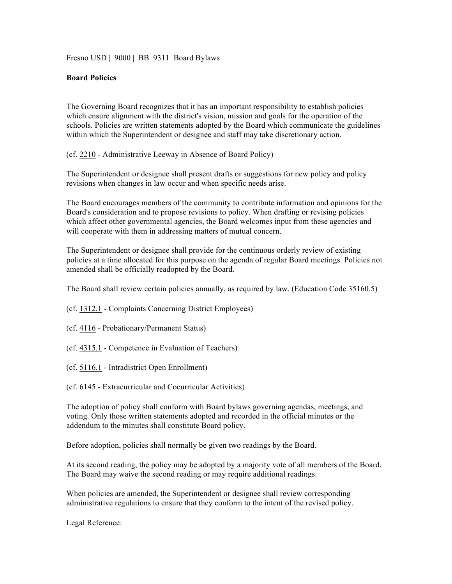Fresno USD | 9000 | BB 9311 Board Bylaws

## **Board Policies**

The Governing Board recognizes that it has an important responsibility to establish policies which ensure alignment with the district's vision, mission and goals for the operation of the schools. Policies are written statements adopted by the Board which communicate the guidelines within which the Superintendent or designee and staff may take discretionary action.

(cf. 2210 - Administrative Leeway in Absence of Board Policy)

The Superintendent or designee shall present drafts or suggestions for new policy and policy revisions when changes in law occur and when specific needs arise.

The Board encourages members of the community to contribute information and opinions for the Board's consideration and to propose revisions to policy. When drafting or revising policies which affect other governmental agencies, the Board welcomes input from these agencies and will cooperate with them in addressing matters of mutual concern.

The Superintendent or designee shall provide for the continuous orderly review of existing policies at a time allocated for this purpose on the agenda of regular Board meetings. Policies not amended shall be officially readopted by the Board.

The Board shall review certain policies annually, as required by law. (Education Code 35160.5)

(cf. 1312.1 - Complaints Concerning District Employees)

- (cf. 4116 Probationary/Permanent Status)
- (cf. 4315.1 Competence in Evaluation of Teachers)
- (cf. 5116.1 Intradistrict Open Enrollment)
- (cf. 6145 Extracurricular and Cocurricular Activities)

The adoption of policy shall conform with Board bylaws governing agendas, meetings, and voting. Only those written statements adopted and recorded in the official minutes or the addendum to the minutes shall constitute Board policy.

Before adoption, policies shall normally be given two readings by the Board.

At its second reading, the policy may be adopted by a majority vote of all members of the Board. The Board may waive the second reading or may require additional readings.

When policies are amended, the Superintendent or designee shall review corresponding administrative regulations to ensure that they conform to the intent of the revised policy.

Legal Reference: